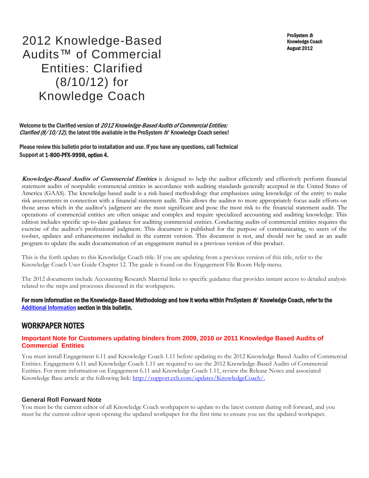ProSystem fx Knowledge Coach August 2012

# 2012 Knowledge-Based Audits™ of Commercial Entities: Clarified (8/10/12) for Knowledge Coach

Welcome to the Clarified version of 2012 Knowledge-Based Audits of Commercial Entities: *Clarified (8/10/12)*, the latest title available in the ProSystem  $f^*$  Knowledge Coach series!

Please review this bulletin prior to installation and use. If you have any questions, call Technical Support at 1-800-PFX-9998, option 4.

**Knowledge-Based Audits of Commercial Entities** is designed to help the auditor efficiently and effectively perform financial statement audits of nonpublic commercial entities in accordance with auditing standards generally accepted in the United States of America (GAAS). The knowledge-based audit is a risk-based methodology that emphasizes using knowledge of the entity to make risk assessments in connection with a financial statement audit. This allows the auditor to more appropriately focus audit efforts on those areas which in the auditor's judgment are the most significant and pose the most risk to the financial statement audit. The operations of commercial entities are often unique and complex and require specialized accounting and auditing knowledge. This edition includes specific up-to-date guidance for auditing commercial entities. Conducting audits of commercial entities requires the exercise of the auditor's professional judgment. This document is published for the purpose of communicating, to users of the toolset, updates and enhancements included in the current version. This document is not, and should not be used as an audit program to update the audit documentation of an engagement started in a previous version of this product.

This is the forth update to this Knowledge Coach title. If you are updating from a previous version of this title, refer to the Knowledge Coach User Guide Chapter 12. The guide is found on the Engagement File Room Help menu.

The 2012 documents include Accounting Research Material links to specific guidance that provides instant access to detailed analysis related to the steps and processes discussed in the workpapers.

#### For more information on the Knowledge-Based Methodology and how it works within ProSystem  $f^*$  Knowledge Coach, refer to the [Additional Information s](#page-2-0)ection in this bulletin.

### WORKPAPER NOTES

#### **Important Note for Customers updating binders from 2009, 2010 or 2011 Knowledge Based Audits of Commercial Entities**

You must install Engagement 6.11 and Knowledge Coach 1.11 before updating to the 2012 Knowledge Based Audits of Commercial Entities. Engagement 6.11 and Knowledge Coach 1.11 are required to use the 2012 Knowledge-Based Audits of Commercial Entities. For more information on Engagement 6.11 and Knowledge Coach 1.11, review the Release Notes and associated Knowledge Base article at the following link: http://support.cch.com/updates/KnowledgeCoach/.

#### **General Roll Forward Note**

You must be the current editor of all Knowledge Coach workpapers to update to the latest content during roll forward, and you must be the current editor upon opening the updated workpaper for the first time to ensure you see the updated workpaper.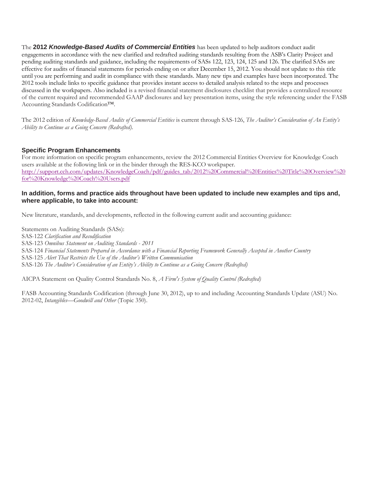The **2012** *Knowledge-Based Audits of Commercial Entities* has been updated to help auditors conduct audit engagements in accordance with the new clarified and redrafted auditing standards resulting from the ASB's Clarity Project and pending auditing standards and guidance, including the requirements of SASs 122, 123, 124, 125 and 126. The clarified SASs are effective for audits of financial statements for periods ending on or after December 15, 2012. You should not update to this title until you are performing and audit in compliance with these standards. Many new tips and examples have been incorporated. The 2012 tools include links to specific guidance that provides instant access to detailed analysis related to the steps and processes discussed in the workpapers. Also included is a revised financial statement disclosures checklist that provides a centralized resource of the current required and recommended GAAP disclosures and key presentation items, using the style referencing under the FASB Accounting Standards Codification™.

The 2012 edition of *Knowledge-Based Audits of Commercial Entities* is current through SAS-126, *The Auditor's Consideration of An Entity's Ability to Continue as a Going Concern (Redrafted).*

#### **Specific Program Enhancements**

For more information on specific program enhancements, review the 2012 Commercial Entities Overview for Knowledge Coach users available at the following link or in the binder through the RES-KCO workpaper. [http://support.cch.com/updates/KnowledgeCoach/pdf/guides\\_tab/2012%20Commercial%20Entities%20Title%20Overview%20](http://support.cch.com/updates/KnowledgeCoach/pdf/guides_tab/2012%20Commercial%20Entities%20Title%20Overview%20for%20Knowledge%20Coach%20Users.pdf) [for%20Knowledge%20Coach%20Users.pdf](http://support.cch.com/updates/KnowledgeCoach/pdf/guides_tab/2012%20Commercial%20Entities%20Title%20Overview%20for%20Knowledge%20Coach%20Users.pdf)

#### **In addition, forms and practice aids throughout have been updated to include new examples and tips and, where applicable, to take into account:**

New literature, standards, and developments, reflected in the following current audit and accounting guidance:

Statements on Auditing Standards (SASs): SAS-122 *Clarification and Recodification* SAS-123 *Omnibus Statement on Auditing Standards - 2011* SAS-124 *Financial Statements Prepared in Accordance with a Financial Reporting Framework Generally Accepted in Another Country* SAS-125 *Alert That Restricts the Use of the Auditor's Written Communication* SAS-126 *The Auditor's Consideration of an Entity's Ability to Continue as a Going Concern (Redrafted)*

AICPA Statement on Quality Control Standards No. 8, *A Firm's System of Quality Control (Redrafted)*

FASB Accounting Standards Codification (through June 30, 2012), up to and including Accounting Standards Update (ASU) No. 2012-02, *Intangibles—Goodwill and Other* (Topic 350).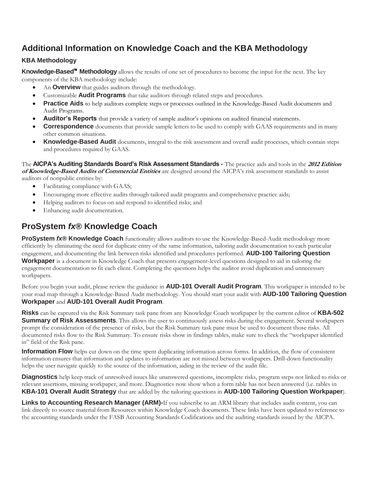## <span id="page-2-0"></span>**Additional Information on Knowledge Coach and the KBA Methodology**

### **KBA Methodology**

**Knowledge-Based**™ **Methodology** allows the results of one set of procedures to become the input for the next. The key components of the KBA methodology include:

- An **Overview** that guides auditors through the methodology.
- Customizable **Audit Programs** that take auditors through related steps and procedures.
- **Practice Aids** to help auditors complete steps or processes outlined in the Knowledge-Based Audit documents and Audit Programs.
- **Auditor's Reports** that provide a variety of sample auditor's opinions on audited financial statements.
- **Correspondence** documents that provide sample letters to be used to comply with GAAS requirements and in many other common situations.
- **Knowledge-Based Audit** documents, integral to the risk assessment and overall audit processes, which contain steps and procedures required by GAAS.

The **AICPA's Auditing Standards Board's Risk Assessment Standards -** The practice aids and tools in the **2012 Edition of Knowledge-Based Audits of Commercial Entities** are designed around the AICPA's risk assessment standards to assist auditors of nonpublic entities by:

- Facilitating compliance with GAAS;
- Encouraging more effective audits through tailored audit programs and comprehensive practice aids;
- Helping auditors to focus on and respond to identified risks; and
- Enhancing audit documentation.

# **ProSystem** *fx***® Knowledge Coach**

**ProSystem** *fx***® Knowledge Coach** functionality allows auditors to use the Knowledge-Based-Audit methodology more efficiently by eliminating the need for duplicate entry of the same information, tailoring audit documentation to each particular engagement, and documenting the link between risks identified and procedures performed. **AUD-100 Tailoring Question Workpaper** is a document in Knowledge Coach that presents engagement-level questions designed to aid in tailoring the engagement documentation to fit each client. Completing the questions helps the auditor avoid duplication and unnecessary workpapers.

Before you begin your audit, please review the guidance in **AUD-101 Overall Audit Program**. This workpaper is intended to be your road map through a Knowledge-Based Audit methodology. You should start your audit with **AUD-100 Tailoring Question Workpaper** and **AUD-101 Overall Audit Program**.

**Risks** can be captured via the Risk Summary task pane from any Knowledge Coach workpaper by the current editor of **KBA-502 Summary of Risk Assessments**. This allows the user to continuously assess risks during the engagement. Several workpapers prompt the consideration of the presence of risks, but the Risk Summary task pane must be used to document those risks. All documented risks flow to the Risk Summary. To ensure risks show in findings tables, make sure to check the "workpaper identified in" field of the Risk pane.

**Information Flow** helps cut down on the time spent duplicating information across forms. In addition, the flow of consistent information ensures that information and updates to information are not missed between workpapers. Drill-down functionality helps the user navigate quickly to the source of the information, aiding in the review of the audit file.

**Diagnostics** help keep track of unresolved issues like unanswered questions, incomplete risks, program steps not linked to risks or relevant assertions, missing workpaper, and more. Diagnostics now show when a form table has not been answered (i.e. tables in **KBA-101 Overall Audit Strategy** that are added by the tailoring questions in **AUD-100 Tailoring Question Workpaper**).

**Links to Accounting Research Manager (ARM)-**If you subscribe to an ARM library that includes audit content, you can link directly to source material from Resources within Knowledge Coach documents. These links have been updated to reference to the accounting standards under the FASB Accounting Standards Codifications and the auditing standards issued by the AICPA.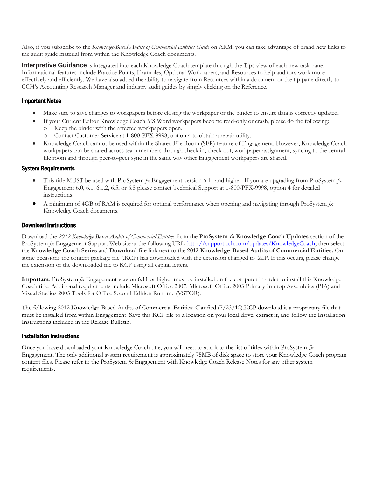Also, if you subscribe to the *Knowledge-Based Audits of Commercial Entities Guide* on ARM, you can take advantage of brand new links to the audit guide material from within the Knowledge Coach documents.

**Interpretive Guidance** is integrated into each Knowledge Coach template through the Tips view of each new task pane. Informational features include Practice Points, Examples, Optional Workpapers, and Resources to help auditors work more effectively and efficiently. We have also added the ability to navigate from Resources within a document or the tip pane directly to CCH's Accounting Research Manager and industry audit guides by simply clicking on the Reference.

#### Important Notes

- Make sure to save changes to workpapers before closing the workpaper or the binder to ensure data is correctly updated.
- If your Current Editor Knowledge Coach MS Word workpapers become read-only or crash, please do the following:
	- o Keep the binder with the affected workpapers open.
	- o Contact Customer Service at 1-800-PFX-9998, option 4 to obtain a repair utility.
- Knowledge Coach cannot be used within the Shared File Room (SFR) feature of Engagement. However, Knowledge Coach workpapers can be shared across team members through check in, check out, workpaper assignment, syncing to the central file room and through peer-to-peer sync in the same way other Engagement workpapers are shared.

#### System Requirements

- This title MUST be used with ProSystem *fx* Engagement version 6.11 and higher. If you are upgrading from ProSystem *fx*  Engagement 6.0, 6.1, 6.1.2, 6.5, or 6.8 please contact Technical Support at 1-800-PFX-9998, option 4 for detailed instructions.
- A minimum of 4GB of RAM is required for optimal performance when opening and navigating through ProSystem *fx*  Knowledge Coach documents.

#### Download Instructions

Download the *2012 Knowledge-Based Audits of Commercial Entities* from the **ProSystem fx Knowledge Coach Updates** section of the ProSystem *fx* Engagement Support Web site at the following URL: [http://support.cch.com/updates/KnowledgeCoach,](http://support.cch.com/updates/KnowledgeCoach) then select the **Knowledge Coach Series** and **Download file** link next to the **2012 Knowledge-Based Audits of Commercial Entities.** On some occasions the content package file (.KCP) has downloaded with the extension changed to .ZIP. If this occurs, please change the extension of the downloaded file to KCP using all capital letters.

**Important**: ProSystem *fx* Engagement version 6.11 or higher must be installed on the computer in order to install this Knowledge Coach title. Additional requirements include Microsoft Office 2007, Microsoft Office 2003 Primary Interop Assemblies (PIA) and Visual Studios 2005 Tools for Office Second Edition Runtime (VSTOR).

The following 2012 Knowledge-Based Audits of Commercial Entities: Clarified (7/23/12).KCP download is a proprietary file that must be installed from within Engagement. Save this KCP file to a location on your local drive, extract it, and follow the Installation Instructions included in the Release Bulletin.

#### Installation Instructions

Once you have downloaded your Knowledge Coach title, you will need to add it to the list of titles within ProSystem *fx*  Engagement. The only additional system requirement is approximately 75MB of disk space to store your Knowledge Coach program content files. Please refer to the ProSystem *fx* Engagement with Knowledge Coach Release Notes for any other system requirements.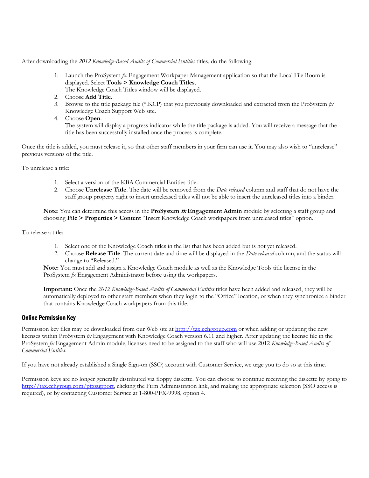After downloading the *2012 Knowledge-Based Audits of Commercial Entities* titles, do the following:

- 1. Launch the ProSystem *fx* Engagement Workpaper Management application so that the Local File Room is displayed. Select **Tools > Knowledge Coach Titles**.
	- The Knowledge Coach Titles window will be displayed.
- 2. Choose **Add Title**.
- 3. Browse to the title package file (\*.KCP) that you previously downloaded and extracted from the ProSystem *fx*  Knowledge Coach Support Web site.
- 4. Choose **Open**.

The system will display a progress indicator while the title package is added. You will receive a message that the title has been successfully installed once the process is complete.

Once the title is added, you must release it, so that other staff members in your firm can use it. You may also wish to "unrelease" previous versions of the title.

To unrelease a title:

- 1. Select a version of the KBA Commercial Entities title.
- 2. Choose **Unrelease Title**. The date will be removed from the *Date released* column and staff that do not have the staff group property right to insert unreleased titles will not be able to insert the unreleased titles into a binder.

**Note**: You can determine this access in the **ProSystem fx Engagement Admin** module by selecting a staff group and choosing **File > Properties > Content** "Insert Knowledge Coach workpapers from unreleased titles" option.

To release a title:

- 1. Select one of the Knowledge Coach titles in the list that has been added but is not yet released.
- 2. Choose **Release Title**. The current date and time will be displayed in the *Date released* column, and the status will change to "Released."

**Note:** You must add and assign a Knowledge Coach module as well as the Knowledge Tools title license in the ProSystem *fx* Engagement Administrator before using the workpapers.

**Important:** Once the *2012 Knowledge-Based Audits of Commercial Entities* titles have been added and released, they will be automatically deployed to other staff members when they login to the "Office" location, or when they synchronize a binder that contains Knowledge Coach workpapers from this title.

#### Online Permission Key

Permission key files may be downloaded from our Web site a[t http://tax.cchgroup.com](http://tax.cchgroup.com/) or when adding or updating the new licenses within ProSystem *fx* Engagement with Knowledge Coach version 6.11 and higher. After updating the license file in the ProSystem *fx* Engagement Admin module, licenses need to be assigned to the staff who will use 2012 *Knowledge-Based Audits of Commercial Entities*.

If you have not already established a Single Sign-on (SSO) account with Customer Service, we urge you to do so at this time.

Permission keys are no longer generally distributed via floppy diskette. You can choose to continue receiving the diskette by going to [http://tax.cchgroup.com/pfxsupport,](http://tax.cchgroup.com/pfxsupport) clicking the Firm Administration link, and making the appropriate selection (SSO access is required), or by contacting Customer Service at 1-800-PFX-9998, option 4.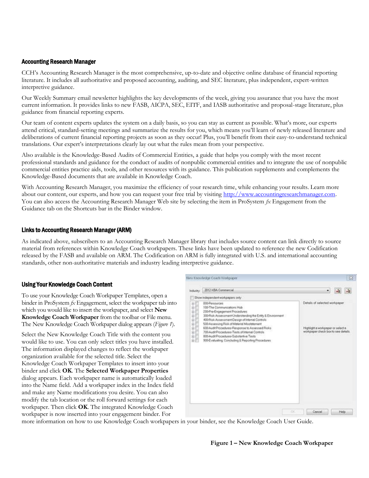#### Accounting Research Manager

CCH's Accounting Research Manager is the most comprehensive, up-to-date and objective online database of financial reporting literature. It includes all authoritative and proposed accounting, auditing, and SEC literature, plus independent, expert-written interpretive guidance.

Our Weekly Summary email newsletter highlights the key developments of the week, giving you assurance that you have the most current information. It provides links to new FASB, AICPA, SEC, EITF, and IASB authoritative and proposal-stage literature, plus guidance from financial reporting experts.

Our team of content experts updates the system on a daily basis, so you can stay as current as possible. What's more, our experts attend critical, standard-setting meetings and summarize the results for you, which means you'll learn of newly released literature and deliberations of current financial reporting projects as soon as they occur! Plus, you'll benefit from their easy-to-understand technical translations. Our expert's interpretations clearly lay out what the rules mean from your perspective.

Also available is the Knowledge-Based Audits of Commercial Entities, a guide that helps you comply with the most recent professional standards and guidance for the conduct of audits of nonpublic commercial entities and to integrate the use of nonpublic commercial entities practice aids, tools, and other resources with its guidance. This publication supplements and complements the Knowledge-Based documents that are available in Knowledge Coach.

With Accounting Research Manager, you maximize the efficiency of your research time, while enhancing your results. Learn more about our content, our experts, and how you can request your free trial by visiting [http://www.accountingresearchmanager.com.](http://www.accountingresearchmanager.com/)  You can also access the Accounting Research Manager Web site by selecting the item in ProSystem *fx* Engagement from the Guidance tab on the Shortcuts bar in the Binder window.

#### Links to Accounting Research Manager (ARM)

As indicated above, subscribers to an Accounting Research Manager library that includes source content can link directly to source material from references within Knowledge Coach workpapers. These links have been updated to reference the new Codification released by the FASB and available on ARM. The Codification on ARM is fully integrated with U.S. and international accounting standards, other non-authoritative materials and industry leading interpretive guidance.

#### Using Your Knowledge Coach Content

To use your Knowledge Coach Workpaper Templates, open a binder in ProSystem *fx* Engagement, select the workpaper tab into which you would like to insert the workpaper, and select **New Knowledge Coach Workpaper** from the toolbar or File menu. The New Knowledge Coach Workpaper dialog appears (*Figure 1*).

Select the New Knowledge Coach Title with the content you would like to use. You can only select titles you have installed. The information displayed changes to reflect the workpaper organization available for the selected title. Select the Knowledge Coach Workpaper Templates to insert into your binder and click **OK**. The **Selected Workpaper Properties** dialog appears. Each workpaper name is automatically loaded into the Name field. Add a workpaper index in the Index field and make any Name modifications you desire. You can also modify the tab location or the roll forward settings for each workpaper. Then click **OK**. The integrated Knowledge Coach workpaper is now inserted into your engagement binder. For



more information on how to use Knowledge Coach workpapers in your binder, see the Knowledge Coach User Guide.